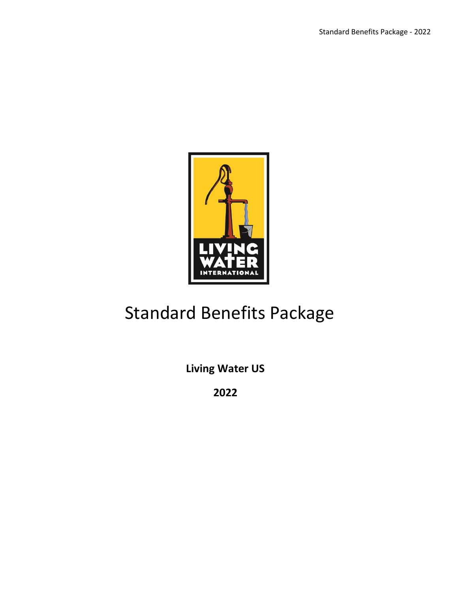

# Standard Benefits Package

**Living Water US**

**2022**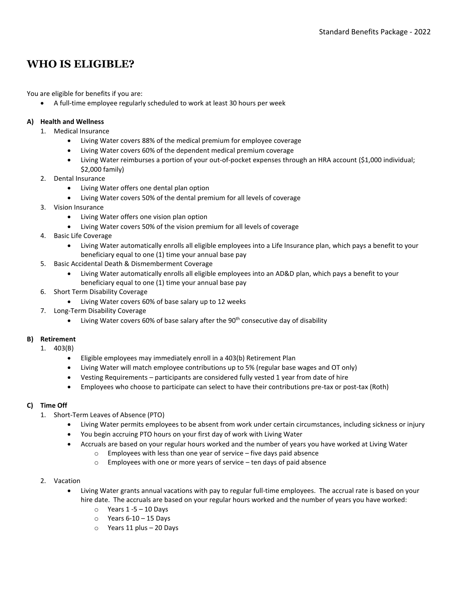## **WHO IS ELIGIBLE?**

You are eligible for benefits if you are:

• A full-time employee regularly scheduled to work at least 30 hours per week

#### **A) Health and Wellness**

- 1. Medical Insurance
	- Living Water covers 88% of the medical premium for employee coverage
	- Living Water covers 60% of the dependent medical premium coverage
	- Living Water reimburses a portion of your out-of-pocket expenses through an HRA account (\$1,000 individual; \$2,000 family)
- 2. Dental Insurance
	- Living Water offers one dental plan option
	- Living Water covers 50% of the dental premium for all levels of coverage
- 3. Vision Insurance
	- Living Water offers one vision plan option
	- Living Water covers 50% of the vision premium for all levels of coverage
- 4. Basic Life Coverage
	- Living Water automatically enrolls all eligible employees into a Life Insurance plan, which pays a benefit to your beneficiary equal to one (1) time your annual base pay
- 5. Basic Accidental Death & Dismemberment Coverage
	- Living Water automatically enrolls all eligible employees into an AD&D plan, which pays a benefit to your beneficiary equal to one (1) time your annual base pay
- 6. Short Term Disability Coverage
	- Living Water covers 60% of base salary up to 12 weeks
- 7. Long-Term Disability Coverage
	- Living Water covers 60% of base salary after the 90<sup>th</sup> consecutive day of disability

#### **B) Retirement**

- 1. 403(B)
	- Eligible employees may immediately enroll in a 403(b) Retirement Plan
	- Living Water will match employee contributions up to 5% (regular base wages and OT only)
	- Vesting Requirements participants are considered fully vested 1 year from date of hire
	- Employees who choose to participate can select to have their contributions pre-tax or post-tax (Roth)

#### **C) Time Off**

- 1. Short-Term Leaves of Absence (PTO)
	- Living Water permits employees to be absent from work under certain circumstances, including sickness or injury
	- You begin accruing PTO hours on your first day of work with Living Water
		- Accruals are based on your regular hours worked and the number of years you have worked at Living Water
			- $\circ$  Employees with less than one year of service five days paid absence
			- o Employees with one or more years of service ten days of paid absence

#### 2. Vacation

- Living Water grants annual vacations with pay to regular full-time employees. The accrual rate is based on your hire date. The accruals are based on your regular hours worked and the number of years you have worked:
	- $\circ$  Years 1 -5 10 Days
	- $\circ$  Years 6-10 15 Days
	- o Years 11 plus 20 Days